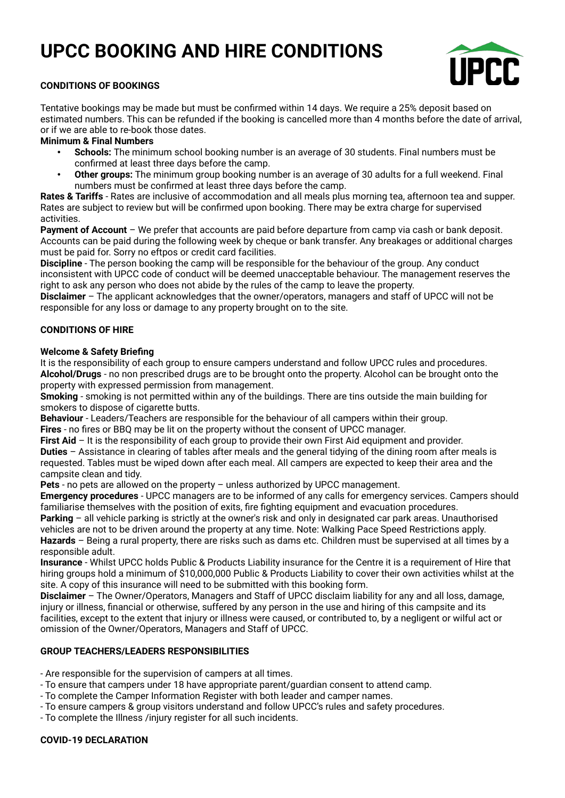# **UPCC BOOKING AND HIRE CONDITIONS**



# **CONDITIONS OF BOOKINGS**

Tentative bookings may be made but must be confirmed within 14 days. We require a 25% deposit based on estimated numbers. This can be refunded if the booking is cancelled more than 4 months before the date of arrival, or if we are able to re-book those dates.

# **Minimum & Final Numbers**

- **Schools:** The minimum school booking number is an average of 30 students. Final numbers must be confirmed at least three days before the camp.
- **Other groups:** The minimum group booking number is an average of 30 adults for a full weekend. Final numbers must be confirmed at least three days before the camp.

**Rates & Tariffs** - Rates are inclusive of accommodation and all meals plus morning tea, afternoon tea and supper. Rates are subject to review but will be confirmed upon booking. There may be extra charge for supervised activities.

**Payment of Account** – We prefer that accounts are paid before departure from camp via cash or bank deposit. Accounts can be paid during the following week by cheque or bank transfer. Any breakages or additional charges must be paid for. Sorry no eftpos or credit card facilities.

**Discipline** - The person booking the camp will be responsible for the behaviour of the group. Any conduct inconsistent with UPCC code of conduct will be deemed unacceptable behaviour. The management reserves the right to ask any person who does not abide by the rules of the camp to leave the property.

**Disclaimer** – The applicant acknowledges that the owner/operators, managers and staff of UPCC will not be responsible for any loss or damage to any property brought on to the site.

## **CONDITIONS OF HIRE**

#### **Welcome & Safety Briefing**

It is the responsibility of each group to ensure campers understand and follow UPCC rules and procedures. **Alcohol/Drugs** - no non prescribed drugs are to be brought onto the property. Alcohol can be brought onto the property with expressed permission from management.

**Smoking** - smoking is not permitted within any of the buildings. There are tins outside the main building for smokers to dispose of cigarette butts.

**Behaviour** - Leaders/Teachers are responsible for the behaviour of all campers within their group.

**Fires** - no fires or BBQ may be lit on the property without the consent of UPCC manager.

**First Aid** – It is the responsibility of each group to provide their own First Aid equipment and provider. **Duties** – Assistance in clearing of tables after meals and the general tidying of the dining room after meals is requested. Tables must be wiped down after each meal. All campers are expected to keep their area and the campsite clean and tidy.

**Pets** - no pets are allowed on the property – unless authorized by UPCC management.

**Emergency procedures** - UPCC managers are to be informed of any calls for emergency services. Campers should familiarise themselves with the position of exits, fire fighting equipment and evacuation procedures.

**Parking** – all vehicle parking is strictly at the owner's risk and only in designated car park areas. Unauthorised vehicles are not to be driven around the property at any time. Note: Walking Pace Speed Restrictions apply. **Hazards** – Being a rural property, there are risks such as dams etc. Children must be supervised at all times by a responsible adult.

**Insurance** - Whilst UPCC holds Public & Products Liability insurance for the Centre it is a requirement of Hire that hiring groups hold a minimum of \$10,000,000 Public & Products Liability to cover their own activities whilst at the site. A copy of this insurance will need to be submitted with this booking form.

**Disclaimer** – The Owner/Operators, Managers and Staff of UPCC disclaim liability for any and all loss, damage, injury or illness, financial or otherwise, suffered by any person in the use and hiring of this campsite and its facilities, except to the extent that injury or illness were caused, or contributed to, by a negligent or wilful act or omission of the Owner/Operators, Managers and Staff of UPCC.

## **GROUP TEACHERS/LEADERS RESPONSIBILITIES**

- Are responsible for the supervision of campers at all times.

- To ensure that campers under 18 have appropriate parent/guardian consent to attend camp.
- To complete the Camper Information Register with both leader and camper names.
- To ensure campers & group visitors understand and follow UPCC's rules and safety procedures.
- To complete the Illness /injury register for all such incidents.

#### **COVID-19 DECLARATION**